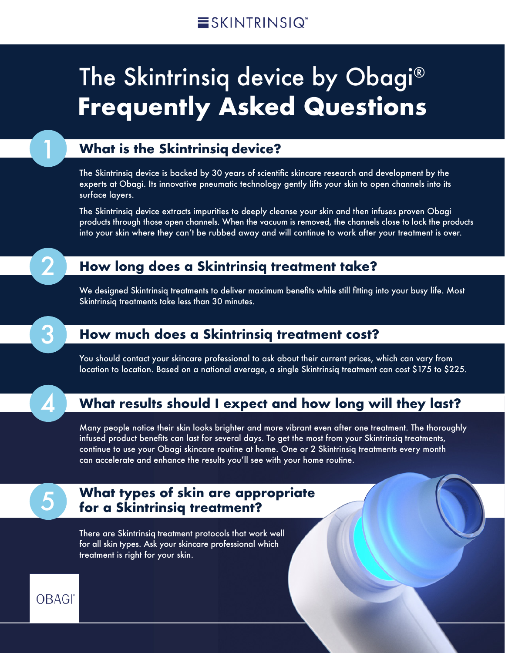### The Skintrinsiq device by Obagi® **Frequently Asked Questions**

### 1 **What is the Skintrinsiq device?**

The Skintrinsiq device is backed by 30 years of scientific skincare research and development by the experts at Obagi. Its innovative pneumatic technology gently lifts your skin to open channels into its surface layers.

The Skintrinsiq device extracts impurities to deeply cleanse your skin and then infuses proven Obagi products through those open channels. When the vacuum is removed, the channels close to lock the products into your skin where they can't be rubbed away and will continue to work after your treatment is over.

### 2 **How long does a Skintrinsiq treatment take?**

We designed Skintrinsiq treatments to deliver maximum benefits while still fitting into your busy life. Most Skintrinsiq treatments take less than 30 minutes.

### 3 **How much does a Skintrinsiq treatment cost?**

You should contact your skincare professional to ask about their current prices, which can vary from location to location. Based on a national average, a single Skintrinsiq treatment can cost \$175 to \$225.

### 4 **What results should I expect and how long will they last?**

Many people notice their skin looks brighter and more vibrant even after one treatment. The thoroughly infused product benefits can last for several days. To get the most from your Skintrinsiq treatments, continue to use your Obagi skincare routine at home. One or 2 Skintrinsiq treatments every month can accelerate and enhance the results you'll see with your home routine.



## **What types of skin are appropriate for a Skintrinsiq treatment?**

There are Skintrinsiq treatment protocols that work well for all skin types. Ask your skincare professional which treatment is right for your skin.

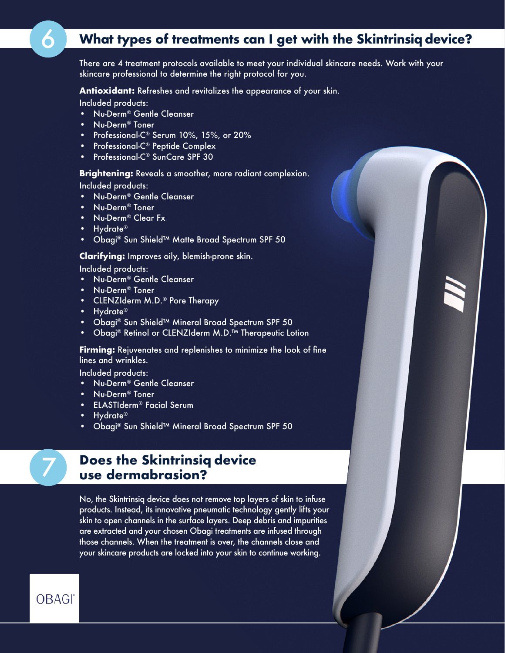### 6 **What types of treatments can I get with the Skintrinsiq device?**

There are 4 treatment protocols available to meet your individual skincare needs. Work with your skincare professional to determine the right protocol for you.

**Antioxidant:** Refreshes and revitalizes the appearance of your skin.

Included products:

- Nu-Derm® Gentle Cleanser
- Nu-Derm® Toner
- Professional-C® Serum 10%, 15%, or 20%
- Professional-C® Peptide Complex
- Professional-C® SunCare SPF 30

#### **Brightening:** Reveals a smoother, more radiant complexion.

Included products:

- Nu-Derm® Gentle Cleanser
- Nu-Derm® Toner
- Nu-Derm® Clear Fx
- Hydrate®
- Obagi® Sun Shield™ Matte Broad Spectrum SPF 50

#### **Clarifying:** Improves oily, blemish-prone skin.

Included products:

- Nu-Derm® Gentle Cleanser
- Nu-Derm® Toner
- CLENZIderm M.D.® Pore Therapy
- Hydrate®
- Obagi® Sun Shield™ Mineral Broad Spectrum SPF 50
- Obagi® Retinol or CLENZIderm M.D.™ Therapeutic Lotion

**Firming:** Rejuvenates and replenishes to minimize the look of fine lines and wrinkles.

Included products:

- Nu-Derm® Gentle Cleanser
- Nu-Derm® Toner
- ELASTIderm® Facial Serum
- Hydrate®
- Obagi® Sun Shield™ Mineral Broad Spectrum SPF 50
- 

# **Does the Skintrinsiq device use dermabrasion?**

No, the Skintrinsiq device does not remove top layers of skin to infuse products. Instead, its innovative pneumatic technology gently lifts your skin to open channels in the surface layers. Deep debris and impurities are extracted and your chosen Obagi treatments are infused through those channels. When the treatment is over, the channels close and your skincare products are locked into your skin to continue working.

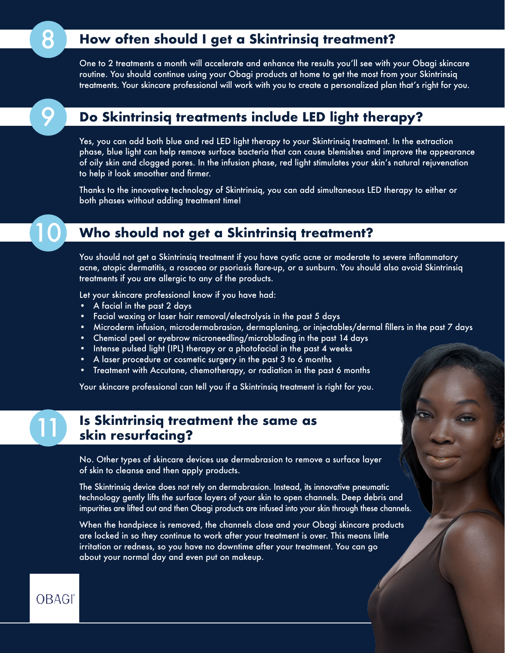### **8 How often should I get a Skintrinsiq treatment?**

One to 2 treatments a month will accelerate and enhance the results you'll see with your Obagi skincare routine. You should continue using your Obagi products at home to get the most from your Skintrinsiq treatments. Your skincare professional will work with you to create a personalized plan that's right for you.

#### 9 **Do Skintrinsiq treatments include LED light therapy?**

Yes, you can add both blue and red LED light therapy to your Skintrinsiq treatment. In the extraction phase, blue light can help remove surface bacteria that can cause blemishes and improve the appearance of oily skin and clogged pores. In the infusion phase, red light stimulates your skin's natural rejuvenation to help it look smoother and firmer.

Thanks to the innovative technology of Skintrinsiq, you can add simultaneous LED therapy to either or both phases without adding treatment time!

### 10 **Who should not get a Skintrinsiq treatment?**

You should not get a Skintrinsiq treatment if you have cystic acne or moderate to severe inflammatory acne, atopic dermatitis, a rosacea or psoriasis flare-up, or a sunburn. You should also avoid Skintrinsiq treatments if you are allergic to any of the products.

Let your skincare professional know if you have had:

- A facial in the past 2 days
- Facial waxing or laser hair removal/electrolysis in the past 5 days
- Microderm infusion, microdermabrasion, dermaplaning, or injectables/dermal fillers in the past 7 days
- Chemical peel or eyebrow microneedling/microblading in the past 14 days
- Intense pulsed light (IPL) therapy or a photofacial in the past 4 weeks
- A laser procedure or cosmetic surgery in the past 3 to 6 months
- Treatment with Accutane, chemotherapy, or radiation in the past 6 months

Your skincare professional can tell you if a Skintrinsiq treatment is right for you.

### **Is Skintrinsiq treatment the same as** 11 **skin resurfacing?**

No. Other types of skincare devices use dermabrasion to remove a surface layer of skin to cleanse and then apply products.

The Skintrinsiq device does not rely on dermabrasion. Instead, its innovative pneumatic technology gently lifts the surface layers of your skin to open channels. Deep debris and impurities are lifted out and then Obagi products are infused into your skin through these channels.

When the handpiece is removed, the channels close and your Obagi skincare products are locked in so they continue to work after your treatment is over. This means little irritation or redness, so you have no downtime after your treatment. You can go about your normal day and even put on makeup.